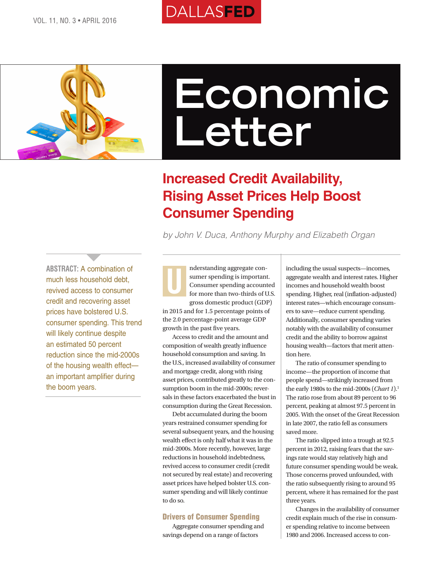# **DALLASFED**



# **Economic Letter**

# **Increased Credit Availability, Rising Asset Prices Help Boost Consumer Spending**

*by John V. Duca, Anthony Murphy and Elizabeth Organ*

**ABSTRACT:** A combination of much less household debt, revived access to consumer credit and recovering asset prices have bolstered U.S. consumer spending. This trend will likely continue despite an estimated 50 percent reduction since the mid-2000s of the housing wealth effect an important amplifier during the boom years.

 $\overline{\phantom{a}}$ 

nderstanding aggregate consumer spending is important. Consumer spending accounted for more than two-thirds of U.S. gross domestic product (GDP) U

in 2015 and for 1.5 percentage points of the 2.0 percentage-point average GDP growth in the past five years.

Access to credit and the amount and composition of wealth greatly influence household consumption and saving. In the U.S., increased availability of consumer and mortgage credit, along with rising asset prices, contributed greatly to the consumption boom in the mid-2000s; reversals in these factors exacerbated the bust in consumption during the Great Recession.

Debt accumulated during the boom years restrained consumer spending for several subsequent years, and the housing wealth effect is only half what it was in the mid-2000s. More recently, however, large reductions in household indebtedness, revived access to consumer credit (credit not secured by real estate) and recovering asset prices have helped bolster U.S. consumer spending and will likely continue to do so.

#### Drivers of Consumer Spending

Aggregate consumer spending and savings depend on a range of factors

including the usual suspects—incomes, aggregate wealth and interest rates. Higher incomes and household wealth boost spending. Higher, real (inflation-adjusted) interest rates—which encourage consumers to save—reduce current spending. Additionally, consumer spending varies notably with the availability of consumer credit and the ability to borrow against housing wealth—factors that merit attention here.

The ratio of consumer spending to income—the proportion of income that people spend—strikingly increased from the early 1980s to the mid-2000s (*Chart 1*).<sup>1</sup> The ratio rose from about 89 percent to 96 percent, peaking at almost 97.5 percent in 2005. With the onset of the Great Recession in late 2007, the ratio fell as consumers saved more.

The ratio slipped into a trough at 92.5 percent in 2012, raising fears that the savings rate would stay relatively high and future consumer spending would be weak. Those concerns proved unfounded, with the ratio subsequently rising to around 95 percent, where it has remained for the past three years.

Changes in the availability of consumer credit explain much of the rise in consumer spending relative to income between 1980 and 2006. Increased access to con-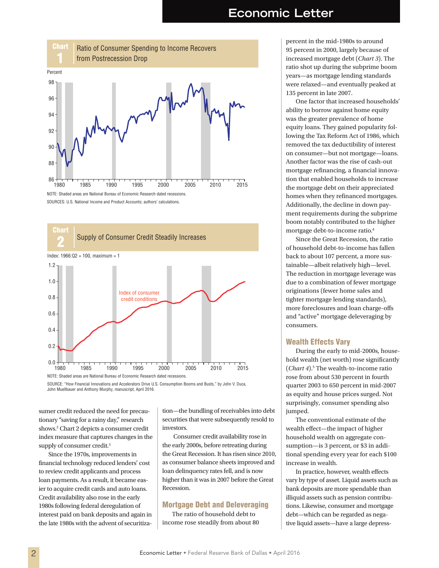

SOURCES: U.S. National Income and Product Accounts; authors' calculations.



SOURCE: "How Financial Innovations and Accelerators Drive U.S. Consumption Booms and Busts," by John V. Duca, John Muellbauer and Anthony Murphy, manuscript, April 2016.

sumer credit reduced the need for precautionary "saving for a rainy day," research shows.2 Chart 2 depicts a consumer credit index measure that captures changes in the supply of consumer credit.<sup>3</sup>

Since the 1970s, improvements in financial technology reduced lenders' cost to review credit applicants and process loan payments. As a result, it became easier to acquire credit cards and auto loans. Credit availability also rose in the early 1980s following federal deregulation of interest paid on bank deposits and again in the late 1980s with the advent of securitization—the bundling of receivables into debt securities that were subsequently resold to investors.

 Consumer credit availability rose in the early 2000s, before retreating during the Great Recession. It has risen since 2010, as consumer balance sheets improved and loan delinquency rates fell, and is now higher than it was in 2007 before the Great Recession.

#### Mortgage Debt and Deleveraging

The ratio of household debt to income rose steadily from about 80

percent in the mid-1980s to around 95 percent in 2000, largely because of increased mortgage debt (*Chart 3*). The ratio shot up during the subprime boom years—as mortgage lending standards were relaxed—and eventually peaked at 135 percent in late 2007.

One factor that increased households' ability to borrow against home equity was the greater prevalence of home equity loans. They gained popularity following the Tax Reform Act of 1986, which removed the tax deductibility of interest on consumer—but not mortgage—loans. Another factor was the rise of cash-out mortgage refinancing, a financial innovation that enabled households to increase the mortgage debt on their appreciated homes when they refinanced mortgages. Additionally, the decline in down payment requirements during the subprime boom notably contributed to the higher mortgage debt-to-income ratio.<sup>4</sup>

Since the Great Recession, the ratio of household debt-to-income has fallen back to about 107 percent, a more sustainable—albeit relatively high—level. The reduction in mortgage leverage was due to a combination of fewer mortgage originations (fewer home sales and tighter mortgage lending standards), more foreclosures and loan charge-offs and "active" mortgage deleveraging by consumers.

#### Wealth Effects Vary

During the early to mid-2000s, household wealth (net worth) rose significantly (*Chart 4*).<sup>5</sup> The wealth-to-income ratio rose from about 530 percent in fourth quarter 2003 to 650 percent in mid-2007 as equity and house prices surged. Not surprisingly, consumer spending also jumped.

The conventional estimate of the wealth effect—the impact of higher household wealth on aggregate consumption—is 3 percent, or \$3 in additional spending every year for each \$100 increase in wealth.

In practice, however, wealth effects vary by type of asset. Liquid assets such as bank deposits are more spendable than illiquid assets such as pension contributions. Likewise, consumer and mortgage debt—which can be regarded as negative liquid assets—have a large depress-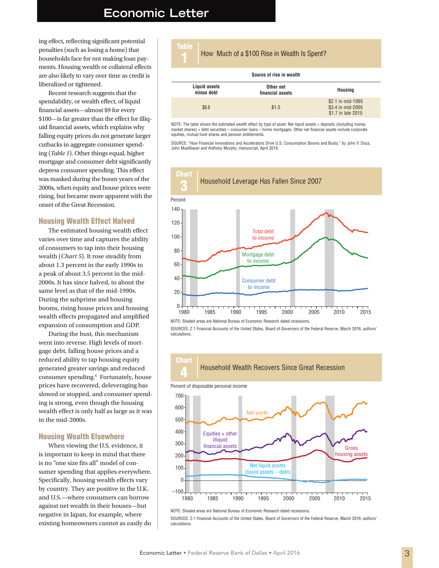### **Economic Letter**

ing effect, reflecting significant potential penalties (such as losing a home) that households face for not making loan payments. Housing wealth or collateral effects are also likely to vary over time as credit is liberalized or tightened.

Recent research suggests that the spendability, or wealth effect, of liquid financial assets—almost \$9 for every \$100—is far greater than the effect for illiquid financial assets, which explains why falling equity prices do not generate larger cutbacks in aggregate consumer spending (*Table 1*). Other things equal, higher mortgage and consumer debt significantly depress consumer spending. This effect was masked during the boom years of the 2000s, when equity and house prices were rising, but became more apparent with the onset of the Great Recession.

#### Housing Wealth Effect Halved

The estimated housing wealth effect varies over time and captures the ability of consumers to tap into their housing wealth (*Chart 5*). It rose steadily from about 1.3 percent in the early 1990s to a peak of about 3.5 percent in the mid-2000s. It has since halved, to about the same level as that of the mid-1990s. During the subprime and housing booms, rising house prices and housing wealth effects propagated and amplified expansion of consumption and GDP.

During the bust, this mechanism went into reverse. High levels of mortgage debt, falling house prices and a reduced ability to tap housing equity generated greater savings and reduced consumer spending.<sup>6</sup> Fortunately, house prices have recovered, deleveraging has slowed or stopped, and consumer spending is strong, even though the housing wealth effect is only half as large as it was in the mid-2000s.

#### Housing Wealth Elsewhere

When viewing the U.S. evidence, it is important to keep in mind that there is no "one size fits all" model of consumer spending that applies everywhere. Specifically, housing wealth effects vary by country. They are positive in the U.K. and U.S.—where consumers can borrow against net wealth in their houses—but negative in Japan, for example, where existing homeowners cannot as easily do

| Table                       |  | How Much of a \$100 Rise in Wealth Is Spent? |                                                              |
|-----------------------------|--|----------------------------------------------|--------------------------------------------------------------|
| Source of rise in wealth    |  |                                              |                                                              |
| Liquid assets<br>minus debt |  | Other net<br>financial assets                | <b>Housing</b>                                               |
| \$8.8                       |  | \$1.5                                        | \$2.1 in mid-1995<br>\$3.4 in mid-2005<br>\$1.7 in late 2015 |

NOTE: The table shows the estimated wealth effect by type of asset. Net liquid assets = deposits (including money market shares) + debt securities – consumer loans – home mortgages. Other net financial assets include corporate equities, mutual fund shares and pension entitlements.

SOURCE: "How Financial Innovations and Accelerators Drive U.S. Consumption Booms and Busts," by John V. Duca, John Muellbauer and Anthony Murphy, manuscript, April 2016.



NOTE: Shaded areas are National Bureau of Economic Research dated recessions.

SOURCES: Z.1 Financial Accounts of the United States, Board of Governors of the Federal Reserve, March 2016; authors' calculations.



1980 1985 1990 1995 2000 2005 2010 2015

SOURCES: Z.1 Financial Accounts of the United States, Board of Governors of the Federal Reserve, March 2016; authors' calculations.

NOTE: Shaded areas are National Bureau of Economic Research dated recessions.